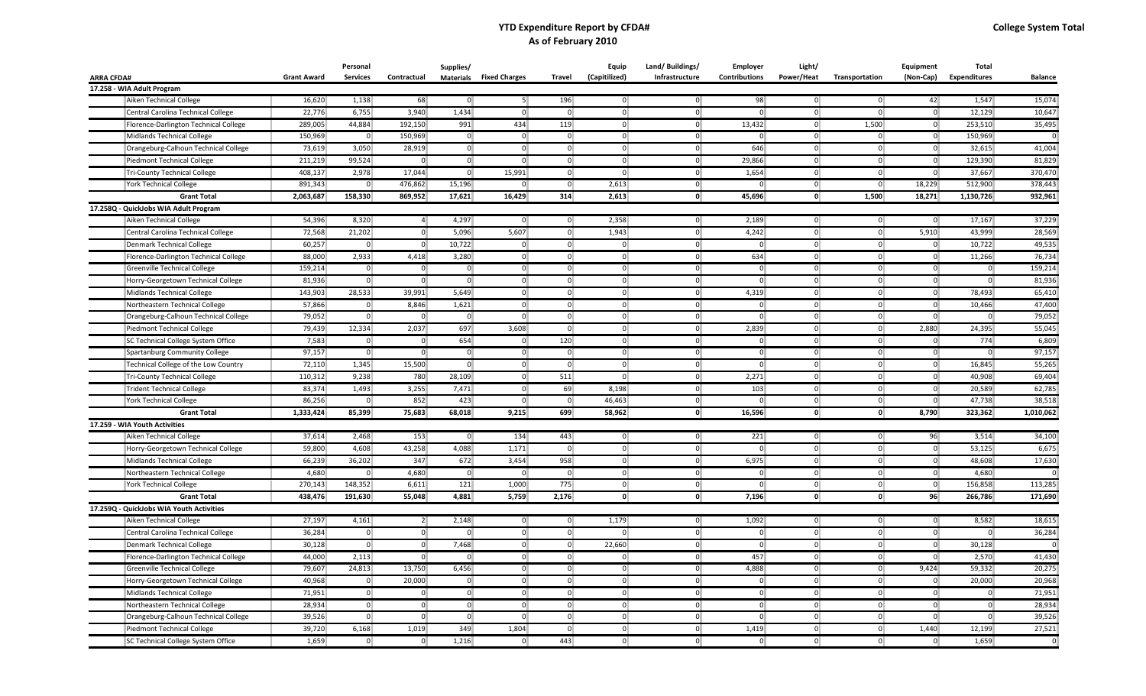## **College System Total**

## **YTD Expenditure Report by CFDA# As of February 2010**

|                                          |                    | Personal        |                | Supplies/      |                                |                | Equip          | Land/Buildings/ | <b>Employer</b> | Light/         |                | Equipment      | <b>Total</b>        |                |
|------------------------------------------|--------------------|-----------------|----------------|----------------|--------------------------------|----------------|----------------|-----------------|-----------------|----------------|----------------|----------------|---------------------|----------------|
| <b>ARRA CFDA#</b>                        | <b>Grant Award</b> | <b>Services</b> | Contractual    |                | <b>Materials</b> Fixed Charges | Travel         | (Capitilized)  | Infrastructure  | Contributions   | Power/Heat     | Transportation | (Non-Cap)      | <b>Expenditures</b> | <b>Balance</b> |
| 17.258 - WIA Adult Program               |                    |                 |                |                |                                |                |                |                 |                 |                |                |                |                     |                |
| Aiken Technical College                  | 16,620             | 1,138           | 68             | $\overline{0}$ | 5                              | 196            | $\overline{0}$ | $\overline{0}$  | 98              | $\overline{0}$ | $\overline{0}$ | 42             | 1,547               | 15,074         |
| Central Carolina Technical College       | 22,776             | 6,755           | 3,940          | 1,434          | $\overline{0}$                 | $\overline{0}$ | $\overline{0}$ | $\overline{0}$  | $\overline{0}$  | $\overline{0}$ | $\mathbf{0}$   | $\overline{0}$ | 12,129              | 10,647         |
| Florence-Darlington Technical College    | 289,005            | 44,884          | 192,150        | 991            | 434                            | 119            | $\mathbf{0}$   | $\overline{0}$  | 13,432          | $\overline{0}$ | 1,500          | $\overline{0}$ | 253,510             | 35,495         |
| Midlands Technical College               | 150,969            | $\overline{0}$  | 150,969        | $\overline{0}$ | $\overline{0}$                 | $\overline{0}$ | $\overline{0}$ | $\overline{0}$  | $\overline{0}$  | $\overline{0}$ | $\overline{0}$ | $\overline{0}$ | 150,969             | $\Omega$       |
| Orangeburg-Calhoun Technical College     | 73,619             | 3,050           | 28,919         | $\overline{0}$ | $\Omega$                       | $\overline{0}$ | $\overline{0}$ | $\overline{0}$  | 646             | $\overline{0}$ | $\overline{0}$ | $\overline{0}$ | 32,615              | 41,004         |
| Piedmont Technical College               | 211,219            | 99,524          | $\overline{0}$ | $\overline{0}$ | $\Omega$                       | $\overline{0}$ | $\overline{0}$ | $\overline{0}$  | 29,866          | $\overline{0}$ | $\overline{0}$ | $\overline{0}$ | 129,390             | 81,829         |
| Tri-County Technical College             | 408,137            | 2,978           | 17,044         | $\overline{0}$ | 15,991                         | $\mathbf{0}$   | $\overline{0}$ | $\overline{0}$  | 1,654           | $\overline{0}$ | $\overline{0}$ | $\overline{0}$ | 37,667              | 370,470        |
| <b>York Technical College</b>            | 891,343            | $\overline{0}$  | 476,862        | 15,196         | $\overline{0}$                 | $\overline{0}$ | 2,613          | $\overline{0}$  | $\overline{0}$  | $\overline{0}$ | $\overline{0}$ | 18,229         | 512,900             | 378,443        |
| <b>Grant Total</b>                       | 2,063,687          | 158,330         | 869,952        | 17,621         | 16,429                         | 314            | 2,613          | $\mathbf{0}$    | 45,696          | $\mathbf{0}$   | 1,500          | 18,271         | 1,130,726           | 932,961        |
| 17.258Q - QuickJobs WIA Adult Program    |                    |                 |                |                |                                |                |                |                 |                 |                |                |                |                     |                |
| Aiken Technical College                  | 54,396             | 8,320           | 4 <sup>1</sup> | 4,297          | $\overline{0}$                 | 0              | 2,358          | 0               | 2,189           | $\overline{0}$ | $\mathbf{0}$   | $\overline{0}$ | 17,167              | 37,229         |
| Central Carolina Technical College       | 72,568             | 21,202          | $\mathbf{0}$   | 5,096          | 5,607                          | $\overline{0}$ | 1,943          | $\overline{0}$  | 4,242           | $\overline{0}$ | $\overline{0}$ | 5,910          | 43,999              | 28,569         |
| Denmark Technical College                | 60,257             | $\overline{0}$  | $\overline{0}$ | 10,722         | $\overline{0}$                 | $\overline{0}$ | $\overline{0}$ | $\overline{0}$  | $\Omega$        | $\overline{0}$ | $\overline{0}$ | $\overline{0}$ | 10,722              | 49,535         |
| Florence-Darlington Technical College    | 88,000             | 2,933           | 4,418          | 3,280          | $\overline{0}$                 | $\overline{0}$ | $\overline{0}$ | $\overline{0}$  | 634             | $\overline{0}$ | $\overline{0}$ | $\overline{0}$ | 11,266              | 76,734         |
| Greenville Technical College             | 159,214            | $\overline{0}$  | $\overline{0}$ | $\overline{0}$ | $\overline{0}$                 | 0              | $\overline{0}$ | $\overline{0}$  | $\mathbf{0}$    | $\mathbf{0}$   | $\mathbf{0}$   | $\overline{0}$ | $\overline{0}$      | 159,214        |
| Horry-Georgetown Technical College       | 81,936             | $\overline{0}$  | $\overline{0}$ | $\overline{0}$ | $\overline{0}$                 | $\overline{0}$ | $\overline{0}$ | $\overline{0}$  | $\overline{0}$  | $\overline{0}$ | $\overline{0}$ | $\overline{0}$ | $\overline{0}$      | 81,936         |
| Midlands Technical College               | 143,903            | 28,533          | 39,991         | 5,649          | $\overline{0}$                 | $\overline{0}$ | $\overline{0}$ | $\overline{0}$  | 4,319           | $\overline{0}$ | $\mathbf{0}$   | $\overline{0}$ | 78,493              | 65,410         |
| Northeastern Technical College           | 57,866             | $\overline{0}$  | 8,846          | 1,621          | $\overline{0}$                 | $\overline{0}$ | $\overline{0}$ | $\overline{0}$  | $\overline{0}$  | $\overline{0}$ | $\mathbf{0}$   | $\overline{0}$ | 10,466              | 47,400         |
| Orangeburg-Calhoun Technical College     | 79,052             | $\overline{0}$  | $\overline{0}$ | $\overline{0}$ | $\overline{0}$                 | $\overline{0}$ | $\overline{0}$ | $\overline{0}$  | $\overline{0}$  | $\overline{0}$ | $\overline{0}$ | $\overline{0}$ | $\overline{0}$      | 79,052         |
| Piedmont Technical College               | 79,439             | 12,334          | 2,037          | 697            | 3,608                          | $\overline{0}$ | $\overline{0}$ | $\overline{0}$  | 2,839           | $\overline{0}$ | $\overline{0}$ | 2,880          | 24,395              | 55,045         |
| SC Technical College System Office       | 7,583              | $\overline{0}$  | $\mathbf{0}$   | 654            | $\overline{0}$                 | 120            | $\overline{0}$ | $\overline{0}$  | $\overline{0}$  | $\overline{0}$ | $\mathbf{0}$   | $\overline{0}$ | 774                 | 6,809          |
| Spartanburg Community College            | 97,157             | $\overline{0}$  | $\mathbf{0}$   | 0              | $\overline{0}$                 | $\overline{0}$ | $\overline{0}$ | $\mathbf{0}$    | $\overline{0}$  | $\overline{0}$ | $\overline{0}$ | $\mathbf{0}$   | $\overline{0}$      | 97,157         |
| Technical College of the Low Country     | 72,110             | 1,345           | 15,500         | $\overline{0}$ | $\overline{0}$                 | $\mathbf{0}$   | $\overline{0}$ | $\overline{0}$  | $\overline{0}$  | $\overline{0}$ | $\overline{0}$ | $\overline{0}$ | 16,845              | 55,265         |
| Tri-County Technical College             | 110,312            | 9,238           | 780            | 28,109         | $\overline{0}$                 | 511            | $\overline{0}$ | $\overline{0}$  | 2,271           | $\overline{0}$ | $\overline{0}$ | $\overline{0}$ | 40,908              | 69,404         |
| <b>Trident Technical College</b>         | 83,374             | 1,493           | 3,255          | 7,471          | $\overline{0}$                 | 69             | 8,198          | $\overline{0}$  | 103             | $\overline{0}$ | $\overline{0}$ | $\overline{0}$ | 20,589              | 62,785         |
| <b>York Technical College</b>            | 86,256             | $\overline{0}$  | 852            | 423            | $\overline{0}$                 | $\mathbf{0}$   | 46,463         | $\overline{0}$  | $\overline{0}$  | $\overline{0}$ | $\overline{0}$ | $\overline{0}$ | 47,738              | 38,518         |
| <b>Grant Total</b>                       | 1,333,424          | 85,399          | 75,683         | 68,018         | 9,215                          | 699            | 58,962         | $\mathbf{0}$    | 16,596          | $\mathbf{0}$   | $\mathbf{0}$   | 8,790          | 323,362             | 1,010,062      |
| 17.259 - WIA Youth Activities            |                    |                 |                |                |                                |                |                |                 |                 |                |                |                |                     |                |
| Aiken Technical College                  | 37,614             | 2,468           | 153            | $\overline{0}$ | 134                            | 443            | $\overline{0}$ | $\Omega$        | 221             | $\overline{0}$ | $\overline{0}$ | 96             | 3,514               | 34,100         |
| Horry-Georgetown Technical College       | 59,800             | 4,608           | 43,258         | 4,088          | 1,171                          | 0              | $\overline{0}$ | $\overline{0}$  | $\Omega$        | $\overline{0}$ | $\overline{0}$ | $\overline{0}$ | 53,125              | 6,675          |
| Midlands Technical College               | 66,239             | 36,202          | 347            | 672            | 3,454                          | 958            | $\overline{0}$ | $\overline{0}$  | 6,975           | $\overline{0}$ | $\overline{0}$ | $\overline{0}$ | 48,608              | 17,630         |
| Northeastern Technical College           | 4,680              | $\overline{0}$  | 4,680          | $\circ$        | $\overline{0}$                 | $\mathbf{0}$   | $\overline{0}$ | $\overline{0}$  | $\overline{0}$  | $\mathbf{0}$   | $\mathbf{0}$   | $\overline{0}$ | 4,680               | $\Omega$       |
| <b>York Technical College</b>            | 270,143            | 148,352         | 6,611          | 121            | 1,000                          | 775            | $\overline{0}$ | $\overline{0}$  | $\overline{0}$  | $\overline{0}$ | $\mathbf{0}$   | $\overline{0}$ | 156,858             | 113,285        |
| <b>Grant Total</b>                       | 438,476            | 191,630         | 55,048         | 4,881          | 5,759                          | 2,176          | $\mathbf{0}$   | $\mathbf{0}$    | 7,196           | $\mathbf{0}$   | $\mathbf{0}$   | 96             | 266,786             | 171,690        |
| 17.259Q - QuickJobs WIA Youth Activities |                    |                 |                |                |                                |                |                |                 |                 |                |                |                |                     |                |
| Aiken Technical College                  | 27,197             | 4,161           | 2              | 2,148          | $\overline{0}$                 | $\overline{0}$ | 1,179          | $\overline{0}$  | 1,092           | $\overline{0}$ | $\mathbf{0}$   | $\overline{0}$ | 8,582               | 18,615         |
| Central Carolina Technical College       | 36,284             | $\overline{0}$  | $\overline{0}$ | $\overline{0}$ | $\overline{0}$                 | $\overline{0}$ | $\overline{0}$ | $\overline{0}$  | $\overline{0}$  | $\overline{0}$ | $\overline{0}$ | $\overline{0}$ | $\overline{0}$      | 36,284         |
|                                          | 30,128             | $\overline{0}$  | $\mathbf{0}$   | 7,468          | $\overline{0}$                 | 0              | 22,660         | $\overline{0}$  | $\overline{0}$  | $\mathbf{0}$   | $\mathbf{0}$   | $\overline{0}$ | 30,128              | $\Omega$       |
| Denmark Technical College                | 44,000             | 2,113           | $\overline{0}$ | $\overline{0}$ | $\overline{0}$                 | $\overline{0}$ | $\overline{0}$ | $\overline{0}$  | 457             | $\overline{0}$ | $\overline{0}$ | $\overline{0}$ | 2,570               | 41,430         |
| Florence-Darlington Technical College    | 79,607             | 24,813          | 13,750         | 6,456          | $\overline{0}$                 | $\overline{0}$ | $\overline{0}$ | $\overline{0}$  | 4,888           | $\overline{0}$ | $\mathbf{0}$   | 9,424          | 59,332              | 20,275         |
| Greenville Technical College             | 40,968             |                 | 20,000         | $\overline{0}$ | $\overline{0}$                 | $\overline{0}$ | $\overline{0}$ | $\overline{0}$  | $\overline{0}$  | $\overline{0}$ |                |                | 20,000              | 20,968         |
| Horry-Georgetown Technical College       |                    | $\overline{0}$  |                |                |                                |                |                |                 |                 |                | $\overline{0}$ | $\mathbf{0}$   |                     |                |
| Midlands Technical College               | 71,951             | $\overline{0}$  | $\mathbf{0}$   | 0              | $\overline{0}$                 | $\overline{0}$ | $\overline{0}$ | $\overline{0}$  | $\overline{0}$  | $\overline{0}$ | $\overline{0}$ | $\overline{0}$ | $\overline{0}$      | 71,951         |
| Northeastern Technical College           | 28,934             | $\overline{0}$  | $\overline{0}$ | $\overline{0}$ | $\overline{0}$                 | $\mathbf{0}$   | $\overline{0}$ | $\overline{0}$  | $\overline{0}$  | $\overline{0}$ | $\overline{0}$ | $\overline{0}$ | $\overline{0}$      | 28,934         |
| Orangeburg-Calhoun Technical College     | 39,526             | $\overline{0}$  | $\overline{0}$ | $\overline{0}$ | $\overline{0}$                 | $\overline{0}$ | $\overline{0}$ | $\overline{0}$  | $\Omega$        | $\overline{0}$ | $\overline{0}$ | $\overline{0}$ | $\overline{0}$      | 39,526         |
| Piedmont Technical College               | 39,720             | 6,168           | 1,019          | 349            | 1,804                          | $\overline{0}$ | $\overline{0}$ | $\overline{0}$  | 1,419           | $\overline{0}$ | $\overline{0}$ | 1,440          | 12,199              | 27,521         |
| SC Technical College System Office       | 1,659              | $\overline{0}$  | $\overline{0}$ | 1,216          | $\overline{0}$                 | 443            | $\overline{0}$ | $\Omega$        | $\overline{0}$  | $\overline{0}$ | $\overline{0}$ | $\overline{0}$ | 1,659               | $\Omega$       |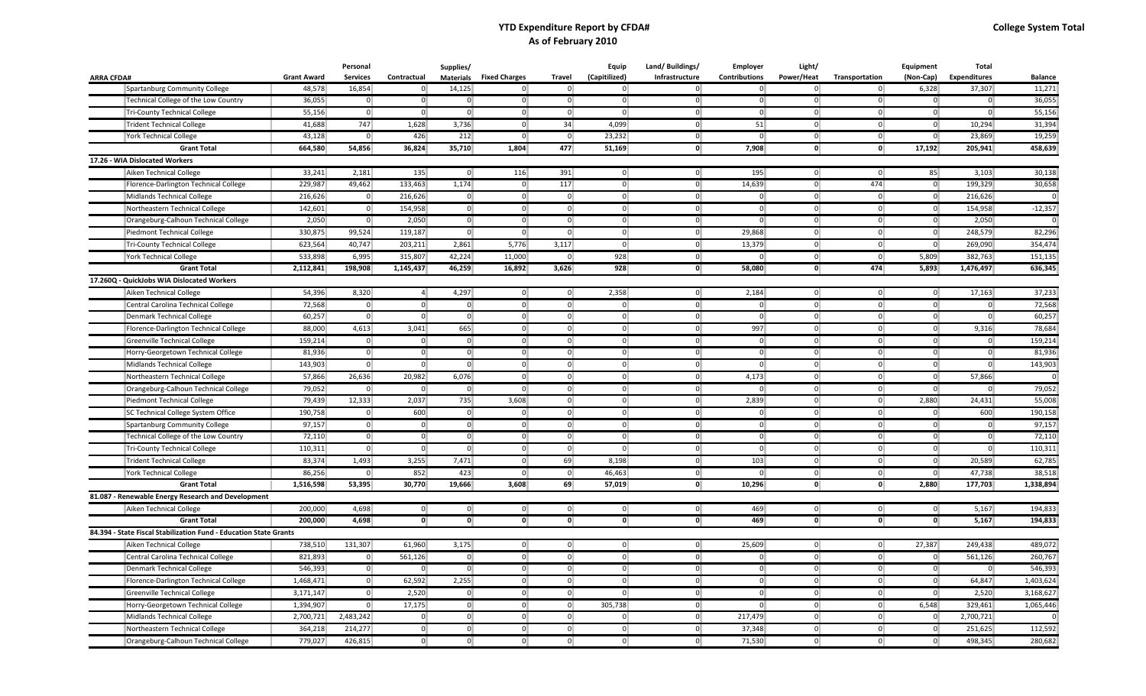## **YTD Expenditure Report by CFDA# As of February 2010**

|                                                                   |                    | Personal        |                | Supplies/        |                      |                | Equip          | Land/Buildings/ | Employer             | Light/         |                | Equipment      | <b>Total</b>        |                |
|-------------------------------------------------------------------|--------------------|-----------------|----------------|------------------|----------------------|----------------|----------------|-----------------|----------------------|----------------|----------------|----------------|---------------------|----------------|
| <b>ARRA CFDA#</b>                                                 | <b>Grant Award</b> | <b>Services</b> | Contractual    | <b>Materials</b> | <b>Fixed Charges</b> | <b>Travel</b>  | (Capitilized)  | Infrastructure  | <b>Contributions</b> | Power/Heat     | Transportation | (Non-Cap)      | <b>Expenditures</b> | <b>Balance</b> |
| Spartanburg Community College                                     | 48,578             | 16,854          | $\overline{0}$ | 14,125           | $\overline{0}$       | $\overline{0}$ | $\overline{0}$ | $\overline{0}$  | $\overline{0}$       | $\overline{0}$ | $\overline{0}$ | 6,328          | 37,307              | 11,271         |
| Technical College of the Low Country                              | 36,055             | $\overline{0}$  | $\overline{0}$ | $\overline{0}$   | $\overline{0}$       | $\overline{0}$ | $\overline{0}$ | $\overline{0}$  | $\overline{0}$       | $\overline{0}$ | $\overline{0}$ | $\overline{0}$ | $\overline{0}$      | 36,055         |
| Tri-County Technical College                                      | 55,156             | $\overline{0}$  | $\overline{0}$ | $\overline{0}$   | $\overline{0}$       | $\overline{0}$ | $\overline{0}$ | $\overline{0}$  | $\overline{0}$       | $\overline{0}$ | $\overline{0}$ | $\overline{0}$ | $\overline{0}$      | 55,156         |
| <b>Trident Technical College</b>                                  | 41,688             | 747             | 1,628          | 3,736            | $\overline{0}$       | 34             | 4,099          | $\overline{0}$  | 51                   | $\overline{0}$ | $\overline{0}$ | $\overline{0}$ | 10,294              | 31,394         |
| <b>York Technical College</b>                                     | 43,128             | $\overline{0}$  | 426            | 212              | $\overline{0}$       | $\overline{0}$ | 23,232         | $\overline{0}$  | $\Omega$             | $\overline{0}$ | $\overline{0}$ | $\overline{0}$ | 23,869              | 19,259         |
| <b>Grant Total</b>                                                | 664,580            | 54,856          | 36,824         | 35,710           | 1,804                | 477            | 51,169         | $\mathbf{0}$    | 7,908                | $\mathbf{0}$   | $\mathbf{0}$   | 17,192         | 205,941             | 458,639        |
| 17.26 - WIA Dislocated Workers                                    |                    |                 |                |                  |                      |                |                |                 |                      |                |                |                |                     |                |
| Aiken Technical College                                           | 33,241             | 2,181           | 135            | $\overline{0}$   | 116                  | 391            | $\overline{0}$ | $\overline{0}$  | 195                  | $\Omega$       | $\overline{0}$ | 85             | 3,103               | 30,138         |
| Florence-Darlington Technical College                             | 229,987            | 49,462          | 133,463        | 1,174            | $\overline{0}$       | 117            | $\overline{0}$ | $\overline{0}$  | 14,639               | $\overline{0}$ | 474            | $\overline{0}$ | 199,329             | 30,658         |
| Midlands Technical College                                        | 216,626            | $\overline{0}$  | 216,626        | $\mathbf{0}$     | $\overline{0}$       | $\overline{0}$ | $\overline{0}$ | $\overline{0}$  | $\overline{0}$       | $\overline{0}$ | $\overline{0}$ | $\overline{0}$ | 216,626             |                |
| Northeastern Technical College                                    | 142,601            | $\overline{0}$  | 154,958        | $\overline{0}$   | $\overline{0}$       | $\overline{0}$ | $\overline{0}$ | $\overline{0}$  | $\overline{0}$       | $\overline{0}$ | $\overline{0}$ | $\overline{0}$ | 154,958             | $-12,357$      |
| Orangeburg-Calhoun Technical College                              | 2,050              | $\overline{0}$  | 2,050          | $\overline{0}$   | $\overline{0}$       | $\overline{0}$ | $\overline{0}$ | $\overline{0}$  | $\Omega$             | $\overline{0}$ | $\overline{0}$ | $\overline{0}$ | 2,050               |                |
| Piedmont Technical College                                        | 330,875            | 99,524          | 119,187        | $\overline{0}$   | $\overline{0}$       | $\overline{0}$ | $\overline{0}$ | $\overline{0}$  | 29,868               | $\overline{0}$ | $\overline{0}$ | $\overline{0}$ | 248,579             | 82,296         |
| Tri-County Technical College                                      | 623,564            | 40,747          | 203,211        | 2,861            | 5,776                | 3,117          | $\overline{0}$ | $\overline{0}$  | 13,379               | $\overline{0}$ | $\overline{0}$ | $\overline{0}$ | 269,090             | 354,474        |
| <b>York Technical College</b>                                     | 533,898            | 6,995           | 315,807        | 42,224           | 11,000               | $\overline{0}$ | 928            | $\overline{0}$  | $\Omega$             | $\overline{0}$ | $\overline{0}$ | 5,809          | 382,763             | 151,135        |
| <b>Grant Total</b>                                                | 2,112,841          | 198,908         | 1,145,437      | 46,259           | 16,892               | 3,626          | 928            | $\mathbf{0}$    | 58,080               | $\mathbf{0}$   | 474            | 5,893          | 1,476,497           | 636,345        |
| 17.260Q - QuickJobs WIA Dislocated Workers                        |                    |                 |                |                  |                      |                |                |                 |                      |                |                |                |                     |                |
| Aiken Technical College                                           | 54,396             | 8,320           | $\overline{4}$ | 4,297            | $\overline{0}$       | $\overline{0}$ | 2,358          | $\overline{0}$  | 2,184                | $\mathbf{0}$   | $\mathbf{0}$   | $\overline{0}$ | 17,163              | 37,233         |
| Central Carolina Technical College                                | 72,568             | $\overline{0}$  | $\overline{0}$ | $\overline{0}$   | $\overline{0}$       | $\mathbf{0}$   | $\overline{0}$ | $\overline{0}$  | $\overline{0}$       | $\overline{0}$ | $\overline{0}$ | $\overline{0}$ | $\overline{0}$      | 72,568         |
| Denmark Technical College                                         | 60,257             | $\overline{0}$  | $\overline{0}$ | $\overline{0}$   | $\overline{0}$       | $\mathbf{0}$   | $\overline{0}$ | $\overline{0}$  | $\Omega$             | $\overline{0}$ | $\overline{0}$ | $\overline{0}$ | $\overline{0}$      | 60,257         |
| Florence-Darlington Technical College                             | 88,000             | 4,613           | 3,041          | 665              | $\overline{0}$       | $\overline{0}$ | $\overline{0}$ | $\overline{0}$  | 997                  | $\overline{0}$ | $\overline{0}$ | $\overline{0}$ | 9,316               | 78,684         |
| Greenville Technical College                                      | 159,214            | $\overline{0}$  | $\overline{0}$ | $\overline{0}$   | $\overline{0}$       | $\overline{0}$ | $\overline{0}$ | $\overline{0}$  | $\overline{0}$       | $\overline{0}$ | $\overline{0}$ | $\overline{0}$ | $\overline{0}$      | 159,214        |
| Horry-Georgetown Technical College                                | 81,936             | $\overline{0}$  | $\overline{0}$ | $\mathbf{0}$     | $\overline{0}$       | $\overline{0}$ | $\overline{0}$ | $\overline{0}$  | $\overline{0}$       | $\mathbf{0}$   | $\mathbf{0}$   | $\overline{0}$ | $\overline{0}$      | 81,936         |
| Midlands Technical College                                        | 143,903            | $\overline{0}$  | $\overline{0}$ | $\overline{0}$   | $\overline{0}$       | $\overline{0}$ | $\overline{0}$ | $\overline{0}$  | $\overline{0}$       | $\overline{0}$ | $\overline{0}$ | $\overline{0}$ | $\overline{0}$      | 143,903        |
| Northeastern Technical College                                    | 57,866             | 26,636          | 20,982         | 6,076            | $\overline{0}$       | $\overline{0}$ | $\overline{0}$ | $\mathbf{0}$    | 4,173                | $\overline{0}$ | $\overline{0}$ | $\overline{0}$ | 57,866              | $\Omega$       |
| Orangeburg-Calhoun Technical College                              | 79,052             | $\overline{0}$  | $\overline{0}$ | $\overline{0}$   | $\overline{0}$       | $\overline{0}$ | $\overline{0}$ | $\overline{0}$  | $\overline{0}$       | $\overline{0}$ | $\overline{0}$ | $\overline{0}$ | $\overline{0}$      | 79,052         |
| Piedmont Technical College                                        | 79,439             | 12,333          | 2,037          | 735              | 3,608                | $\mathbf{0}$   | $\overline{0}$ | $\circ$         | 2,839                | $\overline{0}$ | $\mathbf{0}$   | 2,880          | 24,431              | 55,008         |
| SC Technical College System Office                                | 190,758            | $\overline{0}$  | 600            | $\overline{0}$   | $\overline{0}$       | $\overline{0}$ | $\overline{0}$ | $\overline{0}$  | $\overline{0}$       | $\overline{0}$ | $\overline{0}$ | $\overline{0}$ | 600                 | 190,158        |
| Spartanburg Community College                                     | 97,157             | $\overline{0}$  | $\overline{0}$ | $\overline{0}$   | $\overline{0}$       | $\overline{0}$ | $\overline{0}$ | $\overline{0}$  | $\overline{0}$       | $\overline{0}$ | $\overline{0}$ | $\overline{0}$ | $\overline{0}$      | 97,157         |
| Technical College of the Low Country                              | 72,110             | $\overline{0}$  | $\overline{0}$ | $\overline{0}$   | $\overline{0}$       | 0              | $\overline{0}$ | 0               | $\overline{0}$       | $\overline{0}$ | $\overline{0}$ | $\overline{0}$ | 0                   | 72,110         |
| Tri-County Technical College                                      | 110,311            | $\overline{0}$  | $\overline{0}$ | $\overline{0}$   | $\overline{0}$       | $\overline{0}$ | $\overline{0}$ | $\overline{0}$  | $\overline{0}$       | $\overline{0}$ | $\overline{0}$ | $\overline{0}$ | $\overline{0}$      | 110,311        |
| Trident Technical College                                         | 83,374             | 1,493           | 3,255          | 7,471            | $\overline{0}$       | 69             | 8,198          | $\overline{0}$  | 103                  | $\overline{0}$ | $\overline{0}$ | $\overline{0}$ | 20,589              | 62,785         |
| <b>York Technical College</b>                                     | 86,256             | $\overline{0}$  | 852            | 423              | $\overline{0}$       | $\overline{0}$ | 46,463         | $\overline{0}$  | $\Omega$             | $\overline{0}$ | $\overline{0}$ | $\overline{0}$ | 47,738              | 38,518         |
| <b>Grant Total</b>                                                | 1,516,598          | 53,395          | 30,770         | 19,666           | 3,608                | 69             | 57,019         | $\mathbf{0}$    | 10,296               | $\mathbf{0}$   | $\mathbf{0}$   | 2,880          | 177,703             | 1,338,894      |
| 81.087 - Renewable Energy Research and Development                |                    |                 |                |                  |                      |                |                |                 |                      |                |                |                |                     |                |
| Aiken Technical College                                           | 200,000            | 4,698           | $\overline{0}$ | $\overline{0}$   | $\overline{0}$       | $\overline{0}$ | $\overline{0}$ | $\overline{0}$  | 469                  | $\overline{0}$ | $\overline{0}$ | $\overline{0}$ | 5,167               | 194,833        |
| <b>Grant Total</b>                                                | 200,000            | 4,698           | $\mathbf{0}$   | $\mathbf{0}$     | $\mathbf{0}$         | $\mathbf{0}$   | $\mathbf{0}$   | $\mathbf{0}$    | 469                  | $\mathbf{0}$   | $\mathbf{0}$   | $\mathbf{0}$   | 5,167               | 194,833        |
| 84.394 - State Fiscal Stabilization Fund - Education State Grants |                    |                 |                |                  |                      |                |                |                 |                      |                |                |                |                     |                |
| Aiken Technical College                                           | 738,510            | 131,307         | 61,960         | 3,175            | $\overline{0}$       | $\overline{0}$ | $\overline{0}$ | $\overline{0}$  | 25,609               | $\overline{0}$ | $\overline{0}$ | 27,387         | 249,438             | 489,072        |
| Central Carolina Technical College                                | 821,893            | $\mathbf{0}$    | 561,126        | $\overline{0}$   | $\overline{0}$       | $\mathbf{0}$   | $\overline{0}$ | $\overline{0}$  | $\mathbf{0}$         | $\overline{0}$ | $\overline{0}$ | $\overline{0}$ | 561,126             | 260,767        |
| Denmark Technical College                                         | 546,393            | $\overline{0}$  | $\overline{0}$ | $\overline{0}$   | $\overline{0}$       | $\overline{0}$ | $\overline{0}$ | $\overline{0}$  | $\overline{0}$       | $\overline{0}$ | $\overline{0}$ | $\overline{0}$ | $\overline{0}$      | 546,393        |
| Florence-Darlington Technical College                             | 1,468,471          | $\mathbf{0}$    | 62,592         | 2,255            | $\overline{0}$       | $\mathbf{0}$   | $\overline{0}$ | $\overline{0}$  | $\overline{0}$       | $\overline{0}$ | $\overline{0}$ | $\overline{0}$ | 64,847              | 1,403,624      |
| <b>Greenville Technical College</b>                               | 3,171,147          | $\overline{0}$  | 2,520          | $\overline{0}$   | $\overline{0}$       | $\overline{0}$ | $\overline{0}$ | $\overline{0}$  | $\overline{0}$       | $\overline{0}$ | $\overline{0}$ | $\overline{0}$ | 2,520               | 3,168,627      |
| Horry-Georgetown Technical College                                | 1,394,907          | $\overline{0}$  | 17,175         | $\overline{0}$   | $\overline{0}$       | $\overline{0}$ | 305,738        | $\overline{0}$  | $\overline{0}$       | $\overline{0}$ | $\overline{0}$ | 6,548          | 329,461             | 1,065,446      |
| Midlands Technical College                                        | 2,700,721          | 2,483,242       | $\Omega$       | $\overline{0}$   | $\overline{0}$       | $\overline{0}$ | $\Omega$       | $\overline{0}$  | 217,479              | $\overline{0}$ | $\overline{0}$ | $\overline{0}$ | 2,700,721           |                |
| Northeastern Technical College                                    | 364,218            | 214,277         | $\overline{0}$ | $\mathbf{0}$     | $\overline{0}$       | $\mathbf{0}$   | $\overline{0}$ | $\overline{0}$  | 37,348               | $\overline{0}$ | $\overline{0}$ | $\overline{0}$ | 251,625             | 112,592        |
| Orangeburg-Calhoun Technical College                              | 779,027            | 426,815         | $\overline{0}$ | $\mathbf{0}$     | $\overline{0}$       | $\overline{0}$ | $\overline{0}$ | $\overline{0}$  | 71,530               | $\overline{0}$ | $\overline{0}$ | $\overline{0}$ | 498,345             | 280,682        |
|                                                                   |                    |                 |                |                  |                      |                |                |                 |                      |                |                |                |                     |                |